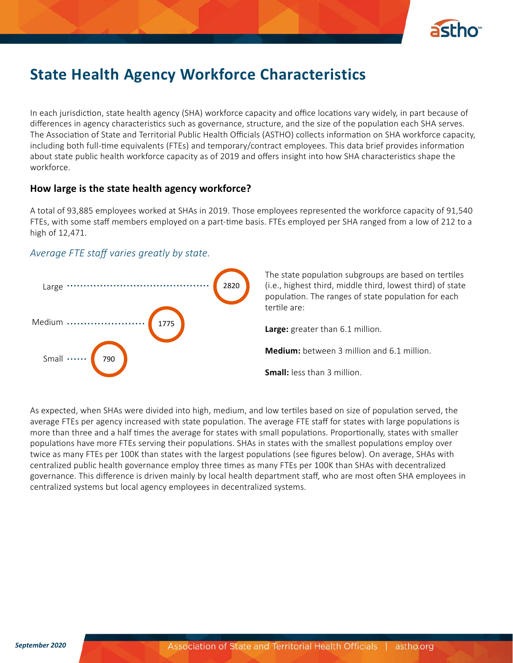

# **State Health Agency Workforce Characteristics**

In each jurisdiction, state health agency (SHA) workforce capacity and office locations vary widely, in part because of differences in agency characteristics such as governance, structure, and the size of the population each SHA serves. The Association of State and Territorial Public Health Officials (ASTHO) collects information on SHA workforce capacity, including both full-time equivalents (FTEs) and temporary/contract employees. This data brief provides information about state public health workforce capacity as of 2019 and offers insight into how SHA characteristics shape the workforce.

### **How large is the state health agency workforce?**

A total of 93,885 employees worked at SHAs in 2019. Those employees represented the workforce capacity of 91,540 FTEs, with some staff members employed on a part-time basis. FTEs employed per SHA ranged from a low of 212 to a high of 12,471.

## *Average FTE staff varies greatly by state.*



As expected, when SHAs were divided into high, medium, and low tertiles based on size of population served, the average FTEs per agency increased with state population. The average FTE staff for states with large populations is more than three and a half times the average for states with small populations. Proportionally, states with smaller populations have more FTEs serving their populations. SHAs in states with the smallest populations employ over twice as many FTEs per 100K than states with the largest populations (see figures below). On average, SHAs with centralized public health governance employ three times as many FTEs per 100K than SHAs with decentralized governance. This difference is driven mainly by local health department staff, who are most often SHA employees in centralized systems but local agency employees in decentralized systems.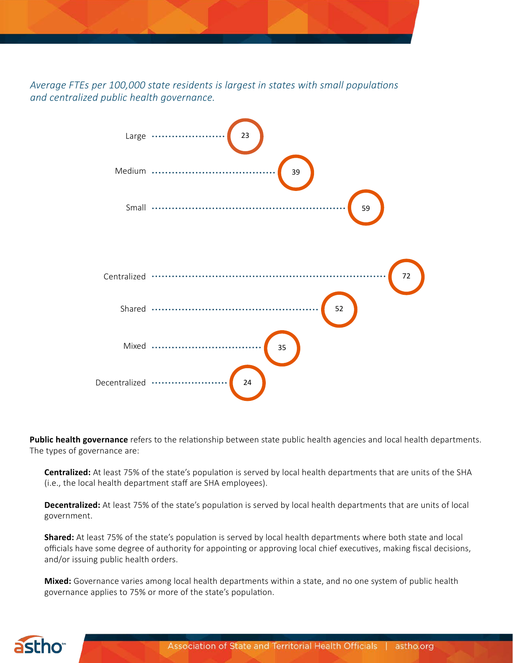*Average FTEs per 100,000 state residents is largest in states with small populations and centralized public health governance.*



**Public health governance** refers to the relationship between state public health agencies and local health departments. The types of governance are:

**Centralized:** At least 75% of the state's population is served by local health departments that are units of the SHA (i.e., the local health department staff are SHA employees).

**Decentralized:** At least 75% of the state's population is served by local health departments that are units of local government.

**Shared:** At least 75% of the state's population is served by local health departments where both state and local officials have some degree of authority for appointing or approving local chief executives, making fiscal decisions, and/or issuing public health orders.

**Mixed:** Governance varies among local health departments within a state, and no one system of public health governance applies to 75% or more of the state's population.

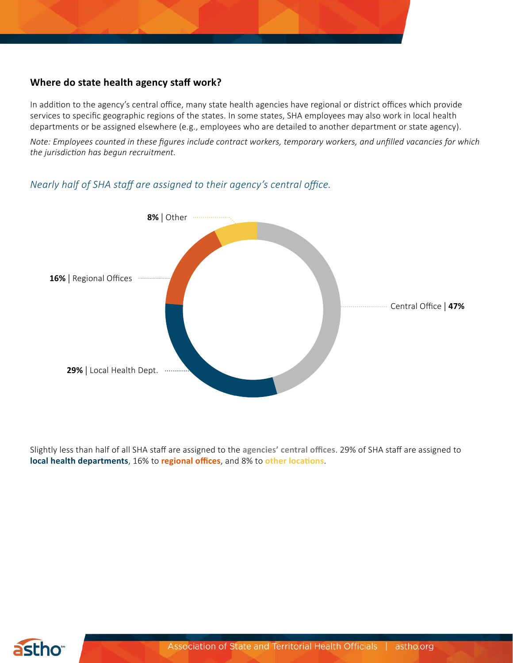## **Where do state health agency staff work?**

In addition to the agency's central office, many state health agencies have regional or district offices which provide services to specific geographic regions of the states. In some states, SHA employees may also work in local health departments or be assigned elsewhere (e.g., employees who are detailed to another department or state agency).

*Note: Employees counted in these figures include contract workers, temporary workers, and unfilled vacancies for which the jurisdiction has begun recruitment.*

# *Nearly half of SHA staff are assigned to their agency's central office.*



Slightly less than half of all SHA staff are assigned to the **agencies' central offices**. 29% of SHA staff are assigned to **local health departments**, 16% to **regional offices**, and 8% to **other locations**.

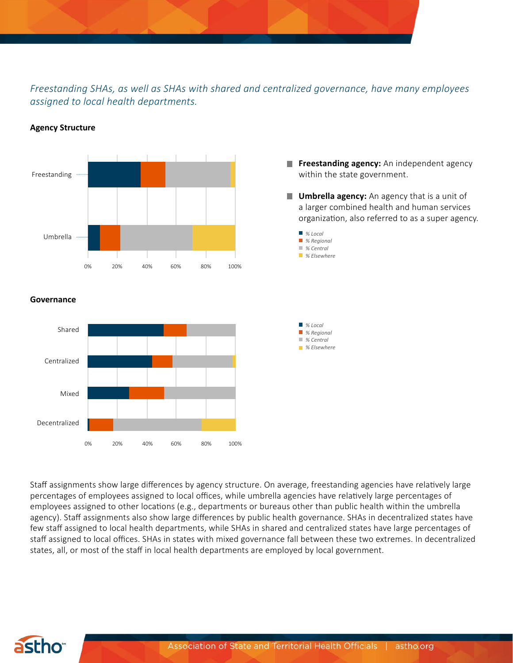*Freestanding SHAs, as well as SHAs with shared and centralized governance, have many employees assigned to local health departments.*



#### **Agency Structure**

**Freestanding agency:** An independent agency within the state government.

**Umbrella agency:** An agency that is a unit of a larger combined health and human services organization, also referred to as a super agency.



### **Governance**



Staff assignments show large differences by agency structure. On average, freestanding agencies have relatively large percentages of employees assigned to local offices, while umbrella agencies have relatively large percentages of employees assigned to other locations (e.g., departments or bureaus other than public health within the umbrella agency). Staff assignments also show large differences by public health governance. SHAs in decentralized states have few staff assigned to local health departments, while SHAs in shared and centralized states have large percentages of staff assigned to local offices. SHAs in states with mixed governance fall between these two extremes. In decentralized states, all, or most of the staff in local health departments are employed by local government.